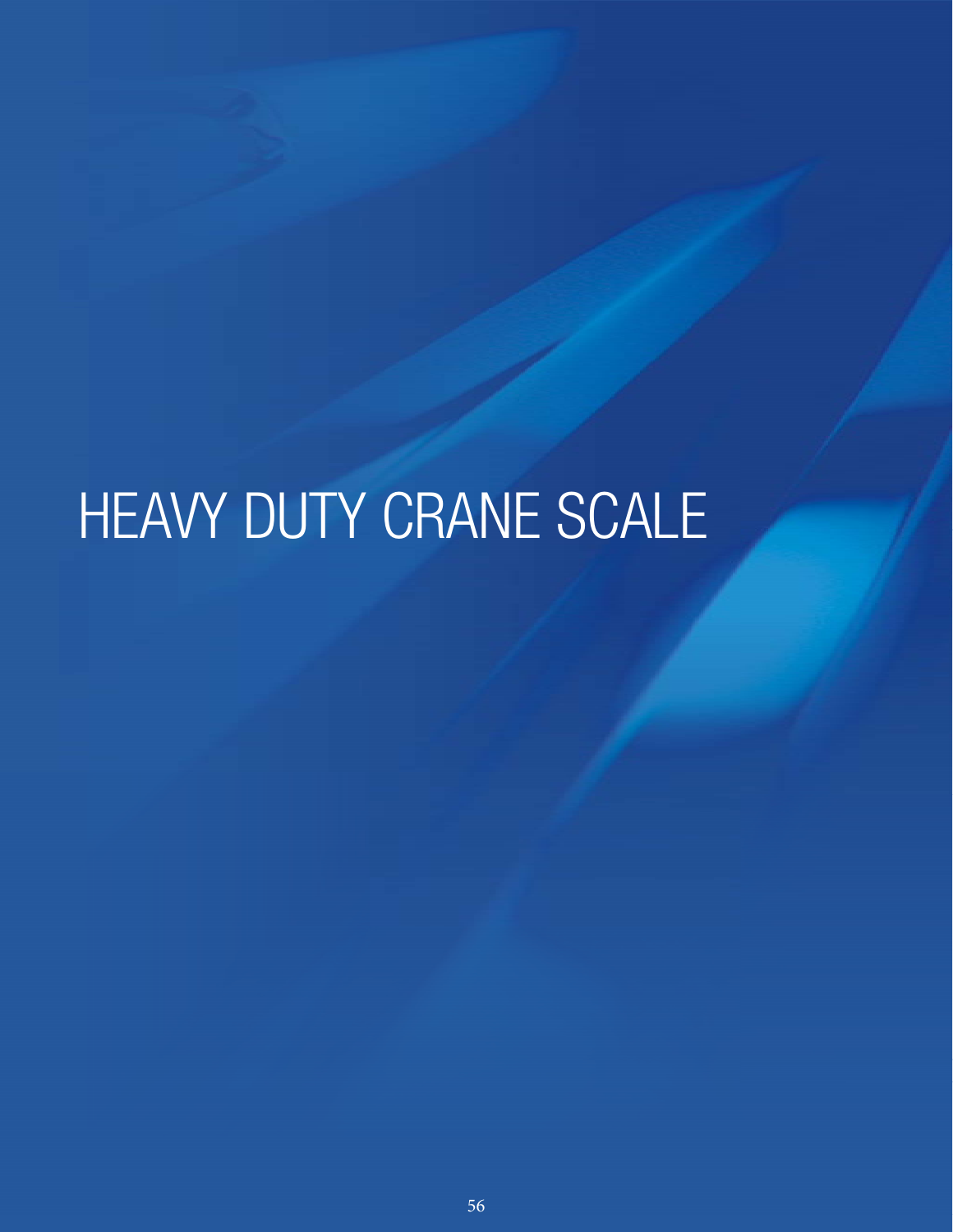# HEAVY DUTY CRANE SCALE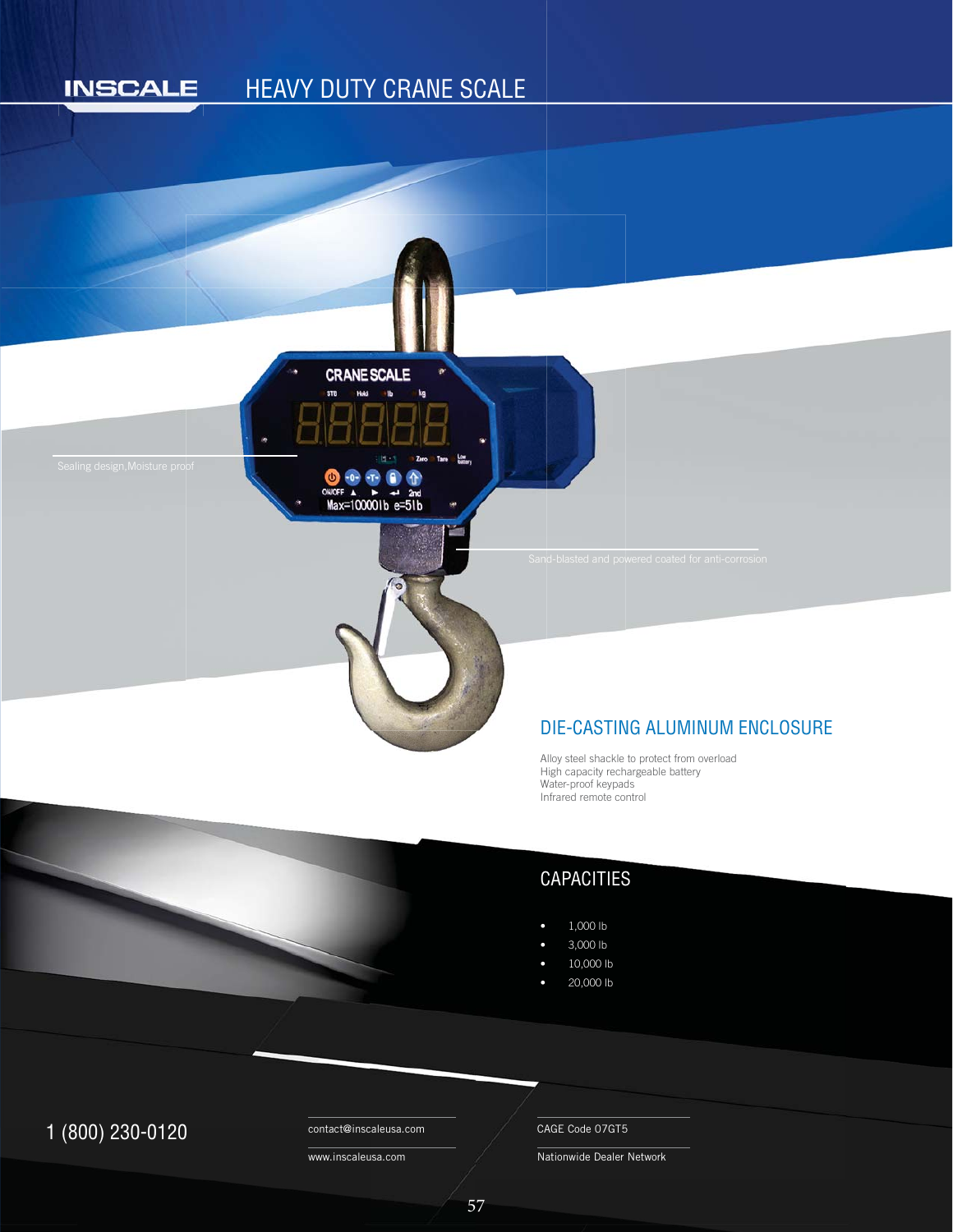#### HEAVY DUTY CRANE SCALE**INSCALE**



#### DIE-CASTING ALUMINUM ENCLOSURE D

Alloy steel shackle to protect from overload A High capacity rechargeable battery H Water-proof keypads W Infrared remote control n

# CAPACITIES

- 1,000 lb
- 3,000 lb
- 10,000 lb
- 20,000 lb

# $1 (800) 230 - 0120$  Contact@inscaleusa.com CAGE Code 07GT5

contact@inscaleusa.com

www.inscaleusa.com

Nationwide Dealer Network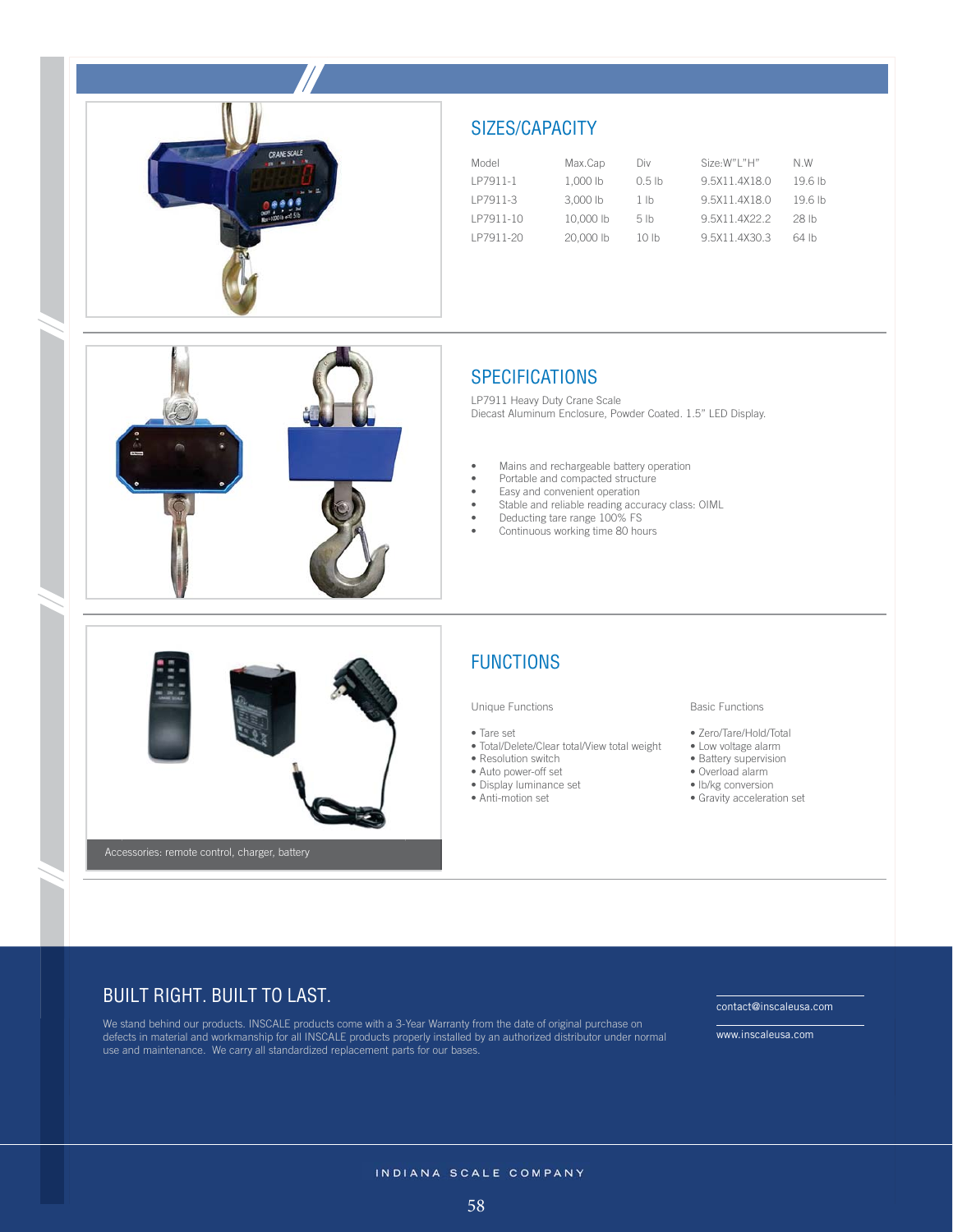

## SIZES/CAPACITY

| Model     | Max.Cap   | Div              | Size:W"I "H"  | N W                |
|-----------|-----------|------------------|---------------|--------------------|
| IP7911-1  | 1.000 lb  | $0.5$ lb         | 9.5X11.4X18.0 | 19.6 <sub>th</sub> |
| IP7911-3  | 3,000 lb  | 1 <sub>lh</sub>  | 9.5X11.4X18.0 | 196th              |
| IP7911-10 | 10,000 lb | 5 <sub>th</sub>  | 95X114X222    | 28 lb              |
| IP7911-20 | 20,000 lb | 10 <sub>th</sub> | 9.5X11.4X30.3 | 64 lb              |



LP7911 Heavy Duty Crane Scale Diecast Aluminum Enclosure, Powder Coated. 1.5" LED Display.

- 
- 
- Mains and rechargeable battery operation • Portable and compacted structure
- Easy and convenient operation
	- Stable and reliable reading accuracy class: OIML
	- Deducting tare range 100% FS
	- Continuous working time 80 hours



### FUNCTIONS

#### Unique Functions

• Tare set

- Total/Delete/Clear total/View total weight
- Resolution switch
- Auto power-off set
- Display luminance set
- Anti-motion set

#### Basic Functions

- Zero/Tare/Hold/Total
- Low voltage alarm
- Battery supervision
- Overload alarm
- lb/kg conversion
- Gravity acceleration set

## BUILT RIGHT. BUILT TO LAST.

We stand behind our products. INSCALE products come with a 3-Year Warranty from the date of original purchase on defects in material and workmanship for all INSCALE products properly installed by an authorized distributor under normal use and maintenance. We carry all standardized replacement parts for our bases.

www.inscaleusa.com

contact@inscaleusa.com

INDIANA SCALE COMPANY